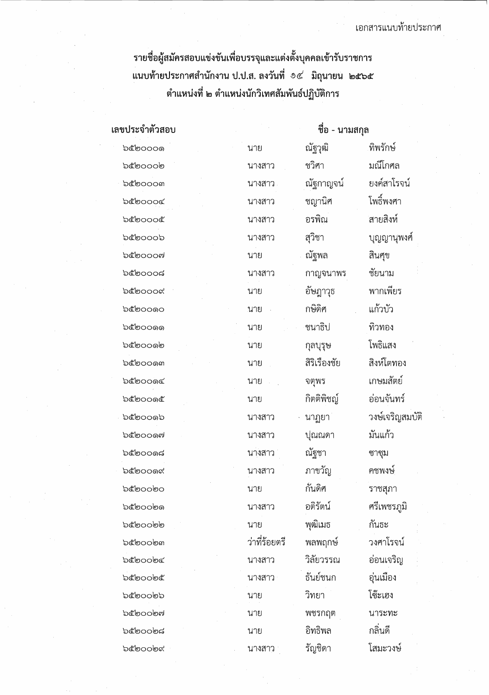รายชื่อผู้สมัครสอบแข่งขันเพื่อบรรจุและแต่งตั้งบุคคลเข้ารับราชการ แนบท้ายประกาศสำนักงาน ป.ป.ส. ลงวันที่ ๑๕ มิถุนายน ๒๕๖๕ ตำแหน่งที่ ๒ ตำแหน่งนักวิเทศสัมพันธ์ปฏิบัติการ

| เลขประจำตัวสอบ          | ชื่อ - นามสกุล |               |                 |
|-------------------------|----------------|---------------|-----------------|
| <b>ර්ෂා</b> රාය ප       | นาย            | ณัฐวุฒิ       | ทิพรักษ์        |
| b๕๒๐๐๐๒                 | นางสาว         | ชวิศา         | มณีโกศล         |
| b๕๒๐๐๐๓                 | นางสาว         | ณัฐกาญจน์     | ยงค์สาโรจน์     |
| b๕๒๐๐๐๔                 | นางสาว         | ชญานิศ        | โพธิ์พงศา       |
| b๕๒๐๐๐๕                 | นางสาว         | อรพิณ         | สายสิงห์        |
| b๕๒๐๐๐๖                 | นางสาว         | สุวิชา        | บุญญานุพงศ์     |
| <b>b๕๒๐๐๐๗</b>          | นาย            | ณัฐพล         | สินศุข          |
| <b>'</b> ಂ೦೦೦ಡ          | นางสาว         | กาญจนาพร      | ชัยนาม          |
| b๕๒๐๐๐๙                 | นาย            | อัษฎาวุธ      | พากเพียร        |
| <b>ර්ෂා</b> රය ගෙ       | นาย            | กษิดิศ        | แก้วบัว         |
| <b>ර්මට 0</b> 0 0 0 0 0 | นาย            | ชนาธิป        | ทิวทอง          |
| <b>b</b> coo@           | นาย            | กุลบุรุษ      | โพธิแสง         |
| <b>b</b> cooനെ          | นาย            | สิริเรื่องชัย | สิงห์โตทอง      |
| ๖๕๒๐๐๑๔                 | นาย            | จตุพร         | เกษมสัตย์       |
| <b>ර්මා</b> රයයේ        | นาย            | กิตติพิชญ์    | อ่อนจันทร์      |
| <b>ර්මා</b> රයන්        | นางสาว         | นาฏยา         | วงษ์เจริญสมบัติ |
| <b>b๕๒๐๐๑๗</b>          | นางสาว         | ปุณณดา        | มันแก้ว         |
| <b>b</b> cooගේ          | นางสาว         | ณัฐชา         | ซาซุม           |
| <b>ර්ෂා</b> රයයෙ        | นางสาว         | ภาขวัญ        | คชพงษ์          |
| <b>b</b> coobo          | นาย            | กันดิศ        | ราชสุภา         |
| <b>b</b> coobo          | นางสาว         | อติรัตน์      | ศรีเพชรภูมิ     |
| <b>bc</b> oobb          | นาย            | พุฒิเมธ       | กันธะ           |
| <b>b</b> coobm          | ว่าที่ร้อยตรี  | พลพฤกษ์       | วงศาโรจน์       |
| <b>b</b> coobc          | นางสาว         | วิลัยวรรณ     | อ่อนเจริญ       |
| <b>bcoooc</b>           | นางสาว         | ธันย์ชนก      | อุ่นเมือง       |
| <b>b</b> ซื่อ000 อ      | นาย            | วิทยา         | โซ๊ะเฮง         |
| <b>b๕๒๐๐๒๗</b>          | นาย            | พชรกฤต        | นาระทะ          |
| <b>b</b> coobದ          | นาย            | อิทธิพล       | กลิ่นดี         |
| <b>b</b> coobd          | นางสาว         | รัญชิดา       | โสมะวงษ์        |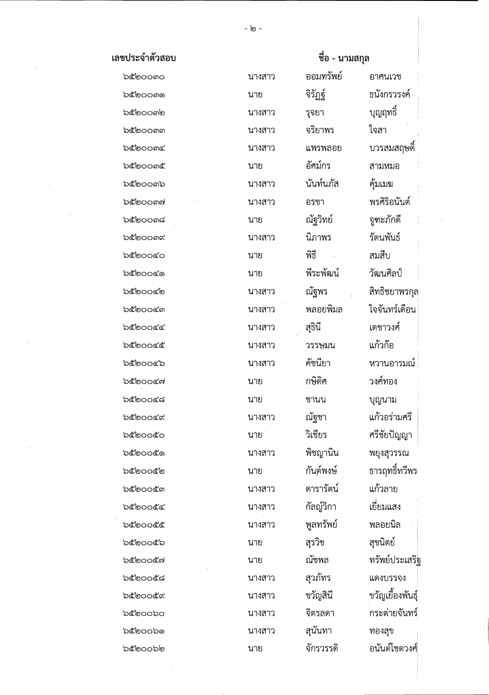| เลขประจำตัวสอบ     |        | ชื่อ - นามสกุล |                  |
|--------------------|--------|----------------|------------------|
| bcoomo             | นางสาว | ออมทรัพย์      | อาศนเวช          |
| b๕๒๐๐๓๑            | นาย    | จิรัฏฐ์        | ธนังกรวรงค์      |
| <b>b</b> coomb     | นางสาว | รุจยา          | บุญฤทธิ์         |
| b๕๒๐๐๓๓            | นางสาว | จริยาพร        | ใจสา             |
| <b>b</b> e oom     | นางสาว | ูแพรพลอย       | บวรสมสฤษดิ์      |
| <b>b</b> e oome    | นาย    | อัศม์กร        | สามหมอ           |
| bcoomb             | นางสาว | นันท์นภัส      | คุ้มเมฆ          |
| <b>b</b> coomค     | นางสาว | อรชา           | พรศิริอนันต์     |
| bcoom              | นาย    | ณัฐวิทย์       | จูฑะภักดี        |
| <b>b</b> coomd     | นางสาว | นิภาพร         | รัตนพันธ์        |
| <b>b</b> ooco      | นาย    | พิธี           | สมสืบ            |
| <b>bcooco</b>      | นาย    | พีระพัฒน์      | วัฒนศิลป์        |
| <b>b๕๒๐๐๔๒</b>     | นางสาว | ณัฐพร          | สิทธิชยาพรกุล    |
| <b>bcoocm</b>      | นางสาว | พลอยพิมล       | ใจจันทร์เดือน    |
| <b>'</b> ಂಡ        | นางสาว | สุธินี         | เตชาวงศ์         |
| <b>b</b> coocc     | นางสาว | วรรษมน         | แก้วก๊อ          |
| <b>b๕๒๐๐๔๖</b>     | นางสาว | คัชนียา        | หวานอารมณ์       |
| <b>b</b> cooco     | นาย    | กษิดิศ         | วงศ์ทอง          |
| ಾಕಿಠಿಂಂತ           | นาย    | ชานน           | บุญนาม           |
| ನಿ೯್ರಂಂ೯ಇ          | นางสาว | ณัฐชา          | แก้วอร่ามศรี     |
| <b>b</b> cooco     | นาย    | วิเชียร        | ศรีชัยปัญญา      |
| <b>ර්මා</b> රයක් ව | นางสาว | พิชญานิน       | พยุงสุวรรณ       |
| ๖๕๒๐๐๕๒            | นาย    | กันต์พงษ์      | ธารฤทธิ์ทวีพร    |
| <b>b</b> coocัต    | นางสาว | ดารารัตน์      | แก้วลาย          |
| <b>b</b> coocc     | นางสาว | กัลญ์วิกา      | เยี่ยมแสง        |
| <b>b</b> coocc     | นางสาว | พูลทรัพย์      | พลอยนิล          |
| <b>b</b> coocb     | ็นาย   | สุรวิช         | สุขนิตย์         |
| <b>b</b> coocต     | นาย    | ณัชพล          | ทรัพย์ประเสริฐ   |
| <b>'ಾರ್</b> ಂಂಕಿದ  | นางสาว | สุวภัทร        | แดงบรรจง         |
| <b>'</b> ಂದೋ       | นางสาว | ขวัญสินี       | ขวัญเยื้องพันธุ์ |
| bcoopo             | นางสาว | จิตรลดา        | กระต่ายจันทร์    |
| <b>b</b> coobの     | นางสาว | สุนันทา        | ทองสุข           |
| もぐしつつもし            | นาย    | จักรวรรดิ      | อนันต์โชตวงศ์    |

J.

- '๒ -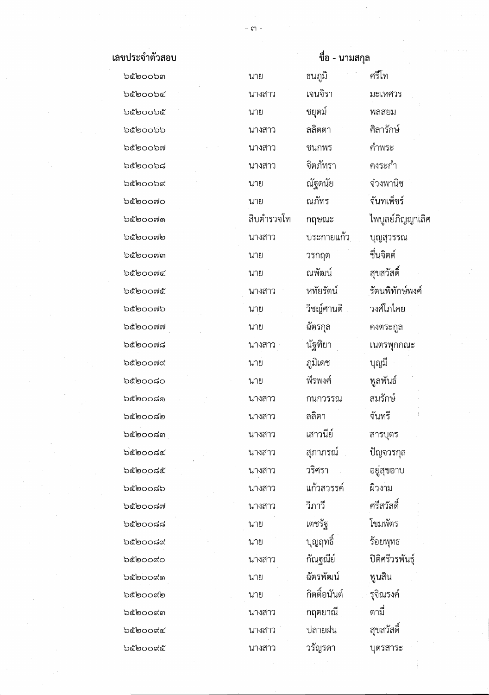| เลขประจำตัวสอบ |
|----------------|
|                |

**b**๕๒๐๐๖๓ **bc**oob  $bc$ **bcoobb b๕๒๐๐๖๗**  $b$ coob **bc**oob& bcoomo **b๕๒๐๐๗๑** bclooonlo **bc** ๒๐๐๗๓ **b๕๒๐๐๗๔** b๕๒๐๐๗๕  $b$ coom $b$ b๕๒๐๐๗๗  $b$ c $\sigma$ oo $d$ **b**coom'd  $b$ co $\circ$ o  $b$ c $\sigma$ o $\sigma$  $b$ c $\sigma$ o $\sigma$  $b$ c $\circ$ o $\circ$ bcoodd bcoock  $b$ co $\circ$ o $\circ$ o  $b$ c් $b$ oo $a$ ฟ  $b$ c $\sigma$ o $\sigma$  $b$ ೬ೆ $b$ ೦೦ಡ $\alpha$ bcooo bcooco **bc**o00 **bc**ี ๒๐๐๙๓ **bc**്ooc< **bc**ooce

|            | ขือ - นามสกุล |                 |  |
|------------|---------------|-----------------|--|
| นาย        | ธนภูมิ        | ศรีโท           |  |
| นางสาว     | เจนจิรา       | มะเหศวร         |  |
| นาย        | ชยุตม์        | พลสยม           |  |
| นางสาว     | ลลิตตา        | ศิลารักษ์       |  |
| นางสาว     | ชนกพร         | คำพระ           |  |
| นางสาว     | จิตภัทรา      | คงระกำ          |  |
| นาย        | ณัฐดนัย       | จ๋วงพานิช       |  |
| นาย        | ณภัทร         | จันทเพ็ชร์      |  |
| สิบตำรวจโท | กฤษณะ         | ไพบูลย์ภิญญาเํ  |  |
| นางสาว     | ประกายแก้ว    | บุญสุวรรณ       |  |
| นาย        | วรกฤต         | ชื่นจิตต์       |  |
| นาย        | ณพัฒน์        | สุขสวัสดิ์      |  |
| นางสาว     | หทัยรัตน์     | รัตนพิทักษ์พงศ์ |  |
| นาย        | วิชญ์ศานติ    | วงศ์โภไคย       |  |
| นาย        | ฉัตรกุล       | คงตระกูล        |  |
| นางสาว     | นัฐฑิยา       | เนตรพุกกณะ      |  |
| นาย        | ภูมิเดช       | บุญมี           |  |
| นาย        | พีรพงศ์       | พูลพันธ์        |  |
| นางสาว     | กนกวรรณ       | สมรักษ์         |  |
| นางสาว     | ลลิตา         | จันทรี          |  |
| นางสาว     | เสาวนีย์      | สารบุตร         |  |
| นางสาว     | สุภาภรณ์      | ปัญจวรกุล       |  |
| นางสาว     | วริศรา        | อยู่สุขอาบ      |  |
| นางสาว     | แก้วสวรรค์    | ผิวงาม          |  |
| นางสาว     | วิภาวี        | ศรีสวัสดิ์      |  |
| นาย        | เตชรัฐ        | โขมพัตร         |  |
| นาย        | บุญฤทธิ์      | ร้อยพุทธ        |  |
| นางสาว     | กัณฐณีย์      | ปิติศรีวรพันธุ์ |  |
| นาย        | ฉัตรพัฒน์     | พูนสิน          |  |
| นาย        | กิตติ้อนันต์  | รุจิณรงค์       |  |
| นางสาว     | กฤตยาณี       | ตามี่           |  |
| นางสาว     | ปลายฝน        | สุขสวัสดิ์      |  |
| นางสาว     | วรัญรดา       | บุตรสาระ        |  |

ะเหศวร ลสยม าพระ เระกำ วงพานิช งบูลย์์ภิญญาเลิศ ญสุวรรณ () ?f~?f1?f~ เค้โภไคย เตรพุกกณะ ารบุตร วงาม |มพัตร วยพุทธ นสิน ามี่

- តា -